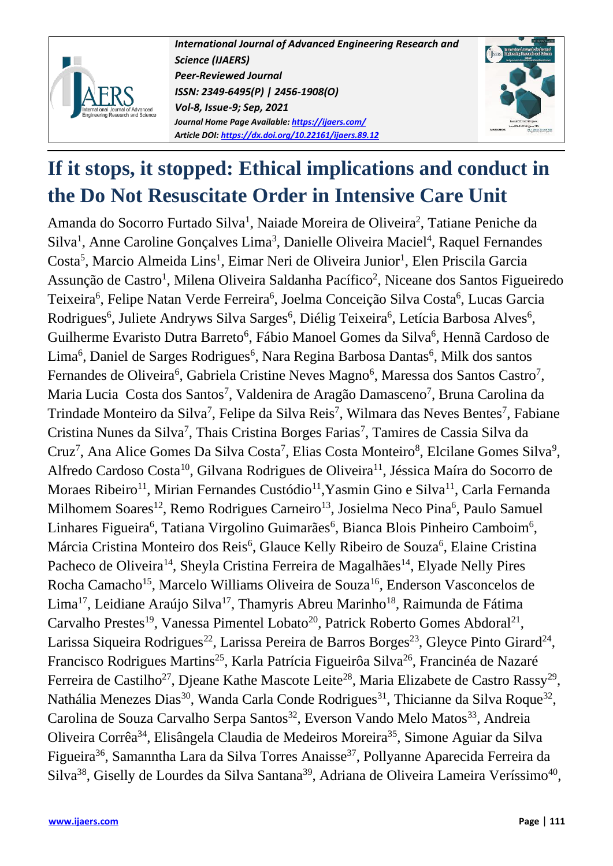

*International Journal of Advanced Engineering Research and Science (IJAERS) Peer-Reviewed Journal ISSN: 2349-6495(P) | 2456-1908(O) Vol-8, Issue-9; Sep, 2021 Journal Home Page Available[: https://ijaers.com/](https://ijaers.com/) Article DOI:<https://dx.doi.org/10.22161/ijaers.89.12>*



# **If it stops, it stopped: Ethical implications and conduct in the Do Not Resuscitate Order in Intensive Care Unit**

Amanda do Socorro Furtado Silva<sup>1</sup>, Naiade Moreira de Oliveira<sup>2</sup>, Tatiane Peniche da Silva<sup>1</sup>, Anne Caroline Gonçalves Lima<sup>3</sup>, Danielle Oliveira Maciel<sup>4</sup>, Raquel Fernandes Costa<sup>5</sup>, Marcio Almeida Lins<sup>1</sup>, Eimar Neri de Oliveira Junior<sup>1</sup>, Elen Priscila Garcia Assunção de Castro<sup>1</sup>, Milena Oliveira Saldanha Pacífico<sup>2</sup>, Niceane dos Santos Figueiredo Teixeira<sup>6</sup>, Felipe Natan Verde Ferreira<sup>6</sup>, Joelma Conceição Silva Costa<sup>6</sup>, Lucas Garcia Rodrigues<sup>6</sup>, Juliete Andryws Silva Sarges<sup>6</sup>, Diélig Teixeira<sup>6</sup>, Letícia Barbosa Alves<sup>6</sup>, Guilherme Evaristo Dutra Barreto<sup>6</sup>, Fábio Manoel Gomes da Silva<sup>6</sup>, Hennã Cardoso de Lima<sup>6</sup>, Daniel de Sarges Rodrigues<sup>6</sup>, Nara Regina Barbosa Dantas<sup>6</sup>, Milk dos santos Fernandes de Oliveira<sup>6</sup>, Gabriela Cristine Neves Magno<sup>6</sup>, Maressa dos Santos Castro<sup>7</sup>, Maria Lucia Costa dos Santos<sup>7</sup>, Valdenira de Aragão Damasceno<sup>7</sup>, Bruna Carolina da Trindade Monteiro da Silva<sup>7</sup>, Felipe da Silva Reis<sup>7</sup>, Wilmara das Neves Bentes<sup>7</sup>, Fabiane Cristina Nunes da Silva<sup>7</sup>, Thais Cristina Borges Farias<sup>7</sup>, Tamires de Cassia Silva da Cruz<sup>7</sup>, Ana Alice Gomes Da Silva Costa<sup>7</sup>, Elias Costa Monteiro<sup>8</sup>, Elcilane Gomes Silva<sup>9</sup>, Alfredo Cardoso Costa<sup>10</sup>, Gilvana Rodrigues de Oliveira<sup>11</sup>, Jéssica Maíra do Socorro de Moraes Ribeiro<sup>11</sup>, Mirian Fernandes Custódio<sup>11</sup>, Yasmin Gino e Silva<sup>11</sup>, Carla Fernanda Milhomem Soares<sup>12</sup>, Remo Rodrigues Carneiro<sup>13</sup>, Josielma Neco Pina<sup>6</sup>, Paulo Samuel Linhares Figueira<sup>6</sup>, Tatiana Virgolino Guimarães<sup>6</sup>, Bianca Blois Pinheiro Camboim<sup>6</sup>, Márcia Cristina Monteiro dos Reis<sup>6</sup>, Glauce Kelly Ribeiro de Souza<sup>6</sup>, Elaine Cristina Pacheco de Oliveira<sup>14</sup>, Sheyla Cristina Ferreira de Magalhães<sup>14</sup>, Elyade Nelly Pires Rocha Camacho<sup>15</sup>, Marcelo Williams Oliveira de Souza<sup>16</sup>, Enderson Vasconcelos de Lima<sup>17</sup>, Leidiane Araújo Silva<sup>17</sup>, Thamyris Abreu Marinho<sup>18</sup>, Raimunda de Fátima Carvalho Prestes<sup>19</sup>, Vanessa Pimentel Lobato<sup>20</sup>, Patrick Roberto Gomes Abdoral<sup>21</sup>, Larissa Siqueira Rodrigues<sup>22</sup>, Larissa Pereira de Barros Borges<sup>23</sup>, Gleyce Pinto Girard<sup>24</sup>, Francisco Rodrigues Martins<sup>25</sup>, Karla Patrícia Figueirôa Silva<sup>26</sup>, Francinéa de Nazaré Ferreira de Castilho<sup>27</sup>, Djeane Kathe Mascote Leite<sup>28</sup>, Maria Elizabete de Castro Rassy<sup>29</sup>, Nathália Menezes Dias<sup>30</sup>, Wanda Carla Conde Rodrigues<sup>31</sup>, Thicianne da Silva Roque<sup>32</sup>, Carolina de Souza Carvalho Serpa Santos<sup>32</sup>, Everson Vando Melo Matos<sup>33</sup>, Andreia Oliveira Corrêa<sup>34</sup>, Elisângela Claudia de Medeiros Moreira<sup>35</sup>, Simone Aguiar da Silva Figueira<sup>36</sup>, Samanntha Lara da Silva Torres Anaisse<sup>37</sup>, Pollyanne Aparecida Ferreira da Silva<sup>38</sup>, Giselly de Lourdes da Silva Santana<sup>39</sup>, Adriana de Oliveira Lameira Veríssimo<sup>40</sup>,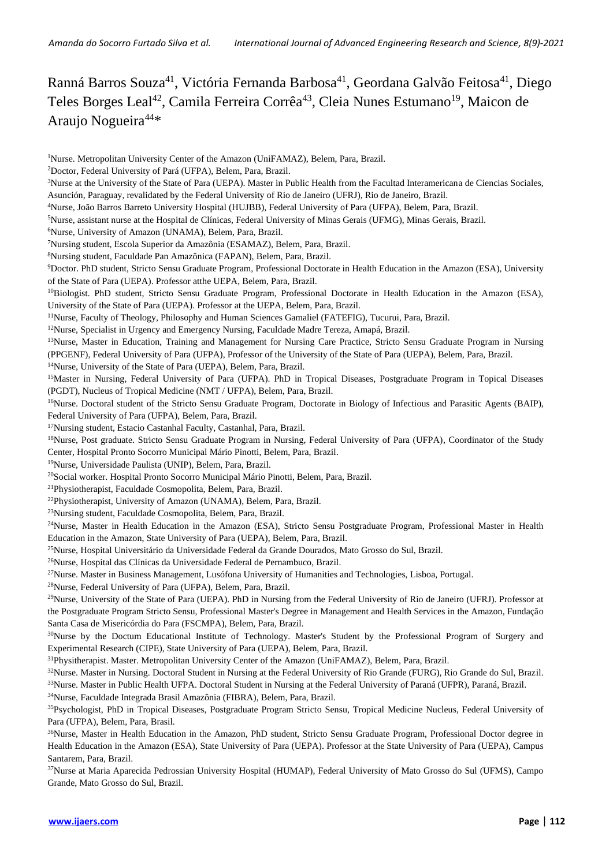Ranná Barros Souza<sup>41</sup>, Victória Fernanda Barbosa<sup>41</sup>, Geordana Galvão Feitosa<sup>41</sup>, Diego Teles Borges Leal<sup>42</sup>, Camila Ferreira Corrêa<sup>43</sup>, Cleia Nunes Estumano<sup>19</sup>, Maicon de Araujo Nogueira<sup>44\*</sup>

<sup>1</sup>Nurse. Metropolitan University Center of the Amazon (UniFAMAZ), Belem, Para, Brazil. <sup>2</sup>Doctor, Federal University of Pará (UFPA), Belem, Para, Brazil. <sup>3</sup>Nurse at the University of the State of Para (UEPA). Master in Public Health from the Facultad Interamericana de Ciencias Sociales, Asunción, Paraguay, revalidated by the Federal University of Rio de Janeiro (UFRJ), Rio de Janeiro, Brazil. <sup>4</sup>Nurse, João Barros Barreto University Hospital (HUJBB), Federal University of Para (UFPA), Belem, Para, Brazil. <sup>5</sup>Nurse, assistant nurse at the Hospital de Clínicas, Federal University of Minas Gerais (UFMG), Minas Gerais, Brazil. <sup>6</sup>Nurse, University of Amazon (UNAMA), Belem, Para, Brazil. <sup>7</sup>Nursing student, Escola Superior da Amazônia (ESAMAZ), Belem, Para, Brazil. <sup>8</sup>Nursing student, Faculdade Pan Amazônica (FAPAN), Belem, Para, Brazil. <sup>9</sup>Doctor. PhD student, Stricto Sensu Graduate Program, Professional Doctorate in Health Education in the Amazon (ESA), University of the State of Para (UEPA). Professor atthe UEPA, Belem, Para, Brazil. <sup>10</sup>Biologist. PhD student, Stricto Sensu Graduate Program, Professional Doctorate in Health Education in the Amazon (ESA), University of the State of Para (UEPA). Professor at the UEPA, Belem, Para, Brazil. <sup>11</sup>Nurse, Faculty of Theology, Philosophy and Human Sciences Gamaliel (FATEFIG), Tucurui, Para, Brazil. <sup>12</sup>Nurse, Specialist in Urgency and Emergency Nursing, Faculdade Madre Tereza, Amapá, Brazil. <sup>13</sup>Nurse, Master in Education, Training and Management for Nursing Care Practice, Stricto Sensu Graduate Program in Nursing (PPGENF), Federal University of Para (UFPA), Professor of the University of the State of Para (UEPA), Belem, Para, Brazil. <sup>14</sup>Nurse, University of the State of Para (UEPA), Belem, Para, Brazil. <sup>15</sup>Master in Nursing, Federal University of Para (UFPA). PhD in Tropical Diseases, Postgraduate Program in Topical Diseases (PGDT), Nucleus of Tropical Medicine (NMT / UFPA), Belem, Para, Brazil. <sup>16</sup>Nurse. Doctoral student of the Stricto Sensu Graduate Program, Doctorate in Biology of Infectious and Parasitic Agents (BAIP), Federal University of Para (UFPA), Belem, Para, Brazil. <sup>17</sup>Nursing student, Estacio Castanhal Faculty, Castanhal, Para, Brazil. <sup>18</sup>Nurse, Post graduate. Stricto Sensu Graduate Program in Nursing, Federal University of Para (UFPA), Coordinator of the Study Center, Hospital Pronto Socorro Municipal Mário Pinotti, Belem, Para, Brazil. <sup>19</sup>Nurse, Universidade Paulista (UNIP), Belem, Para, Brazil. <sup>20</sup>Social worker. Hospital Pronto Socorro Municipal Mário Pinotti, Belem, Para, Brazil. <sup>21</sup>Physiotherapist, Faculdade Cosmopolita, Belem, Para, Brazil. <sup>22</sup>Physiotherapist, University of Amazon (UNAMA), Belem, Para, Brazil. <sup>23</sup>Nursing student, Faculdade Cosmopolita, Belem, Para, Brazil. <sup>24</sup>Nurse, Master in Health Education in the Amazon (ESA), Stricto Sensu Postgraduate Program, Professional Master in Health Education in the Amazon, State University of Para (UEPA), Belem, Para, Brazil. <sup>25</sup>Nurse, Hospital Universitário da Universidade Federal da Grande Dourados, Mato Grosso do Sul, Brazil. <sup>26</sup>Nurse, Hospital das Clínicas da Universidade Federal de Pernambuco, Brazil. <sup>27</sup>Nurse. Master in Business Management, Lusófona University of Humanities and Technologies, Lisboa, Portugal. <sup>28</sup>Nurse, Federal University of Para (UFPA), Belem, Para, Brazil. <sup>29</sup>Nurse, University of the State of Para (UEPA). PhD in Nursing from the Federal University of Rio de Janeiro (UFRJ). Professor at the Postgraduate Program Stricto Sensu, Professional Master's Degree in Management and Health Services in the Amazon, Fundação Santa Casa de Misericórdia do Para (FSCMPA), Belem, Para, Brazil. <sup>30</sup>Nurse by the Doctum Educational Institute of Technology. Master's Student by the Professional Program of Surgery and Experimental Research (CIPE), State University of Para (UEPA), Belem, Para, Brazil. <sup>31</sup>Physitherapist. Master. Metropolitan University Center of the Amazon (UniFAMAZ), Belem, Para, Brazil. <sup>32</sup>Nurse. Master in Nursing. Doctoral Student in Nursing at the Federal University of Rio Grande (FURG), Rio Grande do Sul, Brazil. <sup>33</sup>Nurse. Master in Public Health UFPA. Doctoral Student in Nursing at the Federal University of Paraná (UFPR), Paraná, Brazil. <sup>34</sup>Nurse, Faculdade Integrada Brasil Amazônia (FIBRA), Belem, Para, Brazil. <sup>35</sup>Psychologist, PhD in Tropical Diseases, Postgraduate Program Stricto Sensu, Tropical Medicine Nucleus, Federal University of Para (UFPA), Belem, Para, Brasil. <sup>36</sup>Nurse, Master in Health Education in the Amazon, PhD student, Stricto Sensu Graduate Program, Professional Doctor degree in Health Education in the Amazon (ESA), State University of Para (UEPA). Professor at the State University of Para (UEPA), Campus Santarem, Para, Brazil.

<sup>37</sup>Nurse at Maria Aparecida Pedrossian University Hospital (HUMAP), Federal University of Mato Grosso do Sul (UFMS), Campo Grande, Mato Grosso do Sul, Brazil.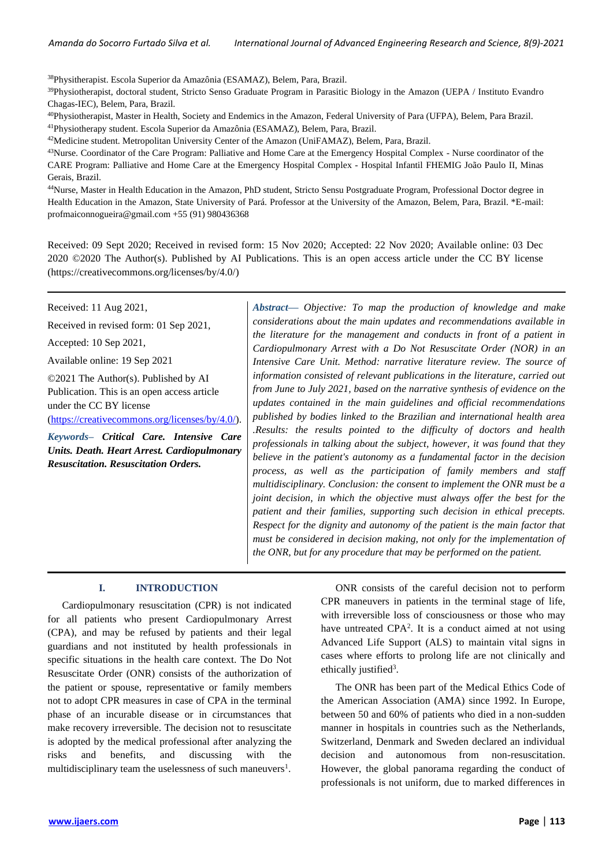*Amanda do Socorro Furtado Silva et al. International Journal of Advanced Engineering Research and Science, 8(9)-2021*

<sup>38</sup>Physitherapist. Escola Superior da Amazônia (ESAMAZ), Belem, Para, Brazil.

<sup>39</sup>Physiotherapist, doctoral student, Stricto Senso Graduate Program in Parasitic Biology in the Amazon (UEPA / Instituto Evandro Chagas-IEC), Belem, Para, Brazil.

<sup>40</sup>Physiotherapist, Master in Health, Society and Endemics in the Amazon, Federal University of Para (UFPA), Belem, Para Brazil.

<sup>41</sup>Physiotherapy student. Escola Superior da Amazônia (ESAMAZ), Belem, Para, Brazil.

<sup>42</sup>Medicine student. Metropolitan University Center of the Amazon (UniFAMAZ), Belem, Para, Brazil.

<sup>43</sup>Nurse. Coordinator of the Care Program: Palliative and Home Care at the Emergency Hospital Complex - Nurse coordinator of the CARE Program: Palliative and Home Care at the Emergency Hospital Complex - Hospital Infantil FHEMIG João Paulo II, Minas Gerais, Brazil.

<sup>44</sup>Nurse, Master in Health Education in the Amazon, PhD student, Stricto Sensu Postgraduate Program, Professional Doctor degree in Health Education in the Amazon, State University of Pará. Professor at the University of the Amazon, Belem, Para, Brazil. \*E-mail: profmaiconnogueira@gmail.com +55 (91) 980436368

Received: 09 Sept 2020; Received in revised form: 15 Nov 2020; Accepted: 22 Nov 2020; Available online: 03 Dec 2020 ©2020 The Author(s). Published by AI Publications. This is an open access article under the CC BY license [\(https://creativecommons.org/licenses/by/4.0/\)](https://creativecommons.org/licenses/by/4.0/)

Received: 11 Aug 2021,

Received in revised form: 01 Sep 2021,

Accepted: 10 Sep 2021,

Available online: 19 Sep 2021

©2021 The Author(s). Published by AI Publication. This is an open access article under the CC BY license [\(https://creativecommons.org/licenses/by/4.0/\)](https://creativecommons.org/licenses/by/4.0/).

*Keywords– Critical Care. Intensive Care Units. Death. Heart Arrest. Cardiopulmonary Resuscitation. Resuscitation Orders.*

*Abstract— Objective: To map the production of knowledge and make considerations about the main updates and recommendations available in the literature for the management and conducts in front of a patient in Cardiopulmonary Arrest with a Do Not Resuscitate Order (NOR) in an Intensive Care Unit. Method: narrative literature review. The source of information consisted of relevant publications in the literature, carried out from June to July 2021, based on the narrative synthesis of evidence on the updates contained in the main guidelines and official recommendations published by bodies linked to the Brazilian and international health area .Results: the results pointed to the difficulty of doctors and health professionals in talking about the subject, however, it was found that they believe in the patient's autonomy as a fundamental factor in the decision process, as well as the participation of family members and staff multidisciplinary. Conclusion: the consent to implement the ONR must be a joint decision, in which the objective must always offer the best for the patient and their families, supporting such decision in ethical precepts. Respect for the dignity and autonomy of the patient is the main factor that must be considered in decision making, not only for the implementation of the ONR, but for any procedure that may be performed on the patient.*

## **I. INTRODUCTION**

Cardiopulmonary resuscitation (CPR) is not indicated for all patients who present Cardiopulmonary Arrest (CPA), and may be refused by patients and their legal guardians and not instituted by health professionals in specific situations in the health care context. The Do Not Resuscitate Order (ONR) consists of the authorization of the patient or spouse, representative or family members not to adopt CPR measures in case of CPA in the terminal phase of an incurable disease or in circumstances that make recovery irreversible. The decision not to resuscitate is adopted by the medical professional after analyzing the risks and benefits, and discussing with the multidisciplinary team the uselessness of such maneuvers<sup>1</sup>.

ONR consists of the careful decision not to perform CPR maneuvers in patients in the terminal stage of life, with irreversible loss of consciousness or those who may have untreated CPA<sup>2</sup>. It is a conduct aimed at not using Advanced Life Support (ALS) to maintain vital signs in cases where efforts to prolong life are not clinically and ethically justified<sup>3</sup>.

The ONR has been part of the Medical Ethics Code of the American Association (AMA) since 1992. In Europe, between 50 and 60% of patients who died in a non-sudden manner in hospitals in countries such as the Netherlands, Switzerland, Denmark and Sweden declared an individual decision and autonomous from non-resuscitation. However, the global panorama regarding the conduct of professionals is not uniform, due to marked differences in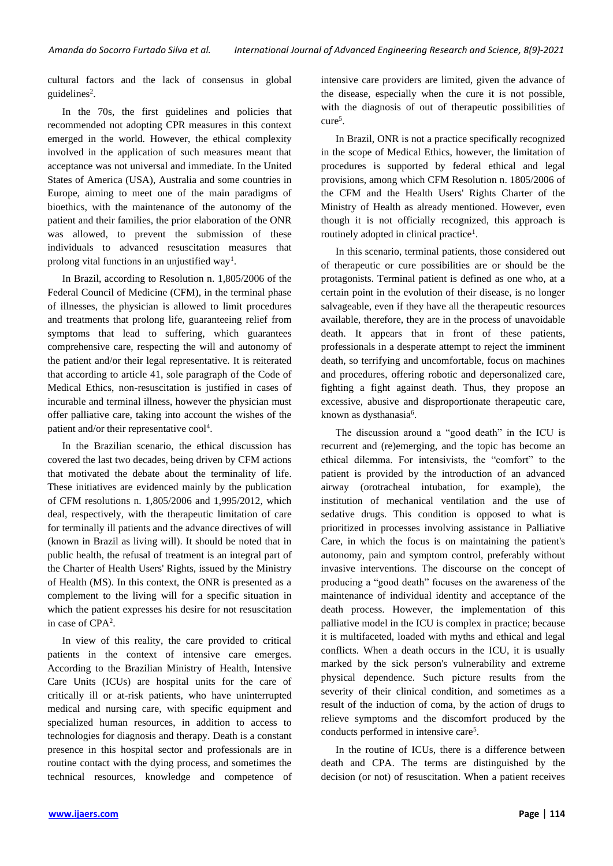cultural factors and the lack of consensus in global guidelines<sup>2</sup>.

In the 70s, the first guidelines and policies that recommended not adopting CPR measures in this context emerged in the world. However, the ethical complexity involved in the application of such measures meant that acceptance was not universal and immediate. In the United States of America (USA), Australia and some countries in Europe, aiming to meet one of the main paradigms of bioethics, with the maintenance of the autonomy of the patient and their families, the prior elaboration of the ONR was allowed, to prevent the submission of these individuals to advanced resuscitation measures that prolong vital functions in an unjustified way<sup>1</sup>.

In Brazil, according to Resolution n. 1,805/2006 of the Federal Council of Medicine (CFM), in the terminal phase of illnesses, the physician is allowed to limit procedures and treatments that prolong life, guaranteeing relief from symptoms that lead to suffering, which guarantees comprehensive care, respecting the will and autonomy of the patient and/or their legal representative. It is reiterated that according to article 41, sole paragraph of the Code of Medical Ethics, non-resuscitation is justified in cases of incurable and terminal illness, however the physician must offer palliative care, taking into account the wishes of the patient and/or their representative cool<sup>4</sup>.

In the Brazilian scenario, the ethical discussion has covered the last two decades, being driven by CFM actions that motivated the debate about the terminality of life. These initiatives are evidenced mainly by the publication of CFM resolutions n. 1,805/2006 and 1,995/2012, which deal, respectively, with the therapeutic limitation of care for terminally ill patients and the advance directives of will (known in Brazil as living will). It should be noted that in public health, the refusal of treatment is an integral part of the Charter of Health Users' Rights, issued by the Ministry of Health (MS). In this context, the ONR is presented as a complement to the living will for a specific situation in which the patient expresses his desire for not resuscitation in case of CPA<sup>2</sup>.

In view of this reality, the care provided to critical patients in the context of intensive care emerges. According to the Brazilian Ministry of Health, Intensive Care Units (ICUs) are hospital units for the care of critically ill or at-risk patients, who have uninterrupted medical and nursing care, with specific equipment and specialized human resources, in addition to access to technologies for diagnosis and therapy. Death is a constant presence in this hospital sector and professionals are in routine contact with the dying process, and sometimes the technical resources, knowledge and competence of intensive care providers are limited, given the advance of the disease, especially when the cure it is not possible, with the diagnosis of out of therapeutic possibilities of cure<sup>5</sup>.

In Brazil, ONR is not a practice specifically recognized in the scope of Medical Ethics, however, the limitation of procedures is supported by federal ethical and legal provisions, among which CFM Resolution n. 1805/2006 of the CFM and the Health Users' Rights Charter of the Ministry of Health as already mentioned. However, even though it is not officially recognized, this approach is routinely adopted in clinical practice<sup>1</sup>.

In this scenario, terminal patients, those considered out of therapeutic or cure possibilities are or should be the protagonists. Terminal patient is defined as one who, at a certain point in the evolution of their disease, is no longer salvageable, even if they have all the therapeutic resources available, therefore, they are in the process of unavoidable death. It appears that in front of these patients, professionals in a desperate attempt to reject the imminent death, so terrifying and uncomfortable, focus on machines and procedures, offering robotic and depersonalized care, fighting a fight against death. Thus, they propose an excessive, abusive and disproportionate therapeutic care, known as dysthanasia<sup>6</sup>.

The discussion around a "good death" in the ICU is recurrent and (re)emerging, and the topic has become an ethical dilemma. For intensivists, the "comfort" to the patient is provided by the introduction of an advanced airway (orotracheal intubation, for example), the institution of mechanical ventilation and the use of sedative drugs. This condition is opposed to what is prioritized in processes involving assistance in Palliative Care, in which the focus is on maintaining the patient's autonomy, pain and symptom control, preferably without invasive interventions. The discourse on the concept of producing a "good death" focuses on the awareness of the maintenance of individual identity and acceptance of the death process. However, the implementation of this palliative model in the ICU is complex in practice; because it is multifaceted, loaded with myths and ethical and legal conflicts. When a death occurs in the ICU, it is usually marked by the sick person's vulnerability and extreme physical dependence. Such picture results from the severity of their clinical condition, and sometimes as a result of the induction of coma, by the action of drugs to relieve symptoms and the discomfort produced by the conducts performed in intensive care<sup>5</sup> .

In the routine of ICUs, there is a difference between death and CPA. The terms are distinguished by the decision (or not) of resuscitation. When a patient receives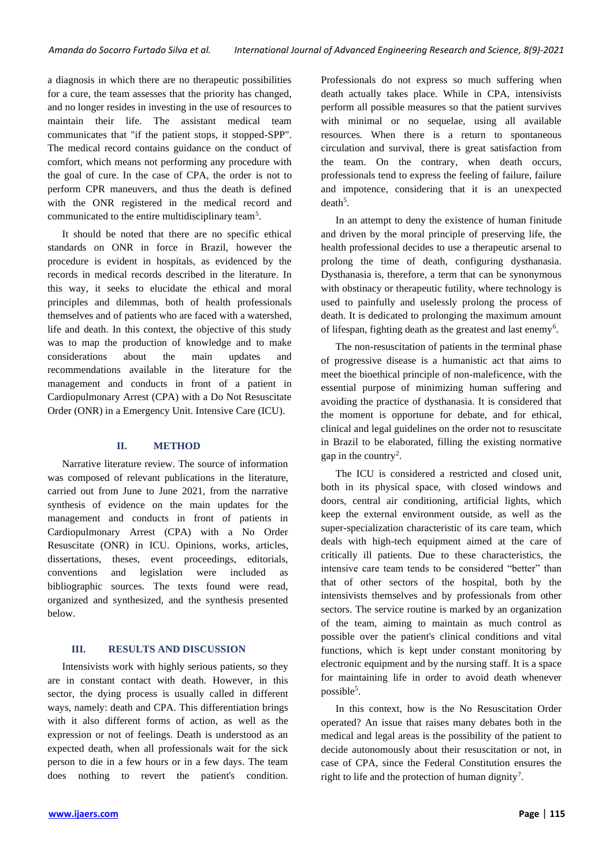a diagnosis in which there are no therapeutic possibilities for a cure, the team assesses that the priority has changed, and no longer resides in investing in the use of resources to maintain their life. The assistant medical team communicates that "if the patient stops, it stopped-SPP". The medical record contains guidance on the conduct of comfort, which means not performing any procedure with the goal of cure. In the case of CPA, the order is not to perform CPR maneuvers, and thus the death is defined with the ONR registered in the medical record and communicated to the entire multidisciplinary team<sup>5</sup>.

It should be noted that there are no specific ethical standards on ONR in force in Brazil, however the procedure is evident in hospitals, as evidenced by the records in medical records described in the literature. In this way, it seeks to elucidate the ethical and moral principles and dilemmas, both of health professionals themselves and of patients who are faced with a watershed, life and death. In this context, the objective of this study was to map the production of knowledge and to make considerations about the main updates and recommendations available in the literature for the management and conducts in front of a patient in Cardiopulmonary Arrest (CPA) with a Do Not Resuscitate Order (ONR) in a Emergency Unit. Intensive Care (ICU).

## **II. METHOD**

Narrative literature review. The source of information was composed of relevant publications in the literature, carried out from June to June 2021, from the narrative synthesis of evidence on the main updates for the management and conducts in front of patients in Cardiopulmonary Arrest (CPA) with a No Order Resuscitate (ONR) in ICU. Opinions, works, articles, dissertations, theses, event proceedings, editorials, conventions and legislation were included as bibliographic sources. The texts found were read, organized and synthesized, and the synthesis presented below.

## **III. RESULTS AND DISCUSSION**

Intensivists work with highly serious patients, so they are in constant contact with death. However, in this sector, the dying process is usually called in different ways, namely: death and CPA. This differentiation brings with it also different forms of action, as well as the expression or not of feelings. Death is understood as an expected death, when all professionals wait for the sick person to die in a few hours or in a few days. The team does nothing to revert the patient's condition. Professionals do not express so much suffering when death actually takes place. While in CPA, intensivists perform all possible measures so that the patient survives with minimal or no sequelae, using all available resources. When there is a return to spontaneous circulation and survival, there is great satisfaction from the team. On the contrary, when death occurs, professionals tend to express the feeling of failure, failure and impotence, considering that it is an unexpected  $death<sup>5</sup>$ .

In an attempt to deny the existence of human finitude and driven by the moral principle of preserving life, the health professional decides to use a therapeutic arsenal to prolong the time of death, configuring dysthanasia. Dysthanasia is, therefore, a term that can be synonymous with obstinacy or therapeutic futility, where technology is used to painfully and uselessly prolong the process of death. It is dedicated to prolonging the maximum amount of lifespan, fighting death as the greatest and last enemy<sup>6</sup>.

The non-resuscitation of patients in the terminal phase of progressive disease is a humanistic act that aims to meet the bioethical principle of non-maleficence, with the essential purpose of minimizing human suffering and avoiding the practice of dysthanasia. It is considered that the moment is opportune for debate, and for ethical, clinical and legal guidelines on the order not to resuscitate in Brazil to be elaborated, filling the existing normative gap in the country<sup>2</sup>.

The ICU is considered a restricted and closed unit, both in its physical space, with closed windows and doors, central air conditioning, artificial lights, which keep the external environment outside, as well as the super-specialization characteristic of its care team, which deals with high-tech equipment aimed at the care of critically ill patients. Due to these characteristics, the intensive care team tends to be considered "better" than that of other sectors of the hospital, both by the intensivists themselves and by professionals from other sectors. The service routine is marked by an organization of the team, aiming to maintain as much control as possible over the patient's clinical conditions and vital functions, which is kept under constant monitoring by electronic equipment and by the nursing staff. It is a space for maintaining life in order to avoid death whenever possible<sup>5</sup>.

In this context, how is the No Resuscitation Order operated? An issue that raises many debates both in the medical and legal areas is the possibility of the patient to decide autonomously about their resuscitation or not, in case of CPA, since the Federal Constitution ensures the right to life and the protection of human dignity<sup>7</sup>.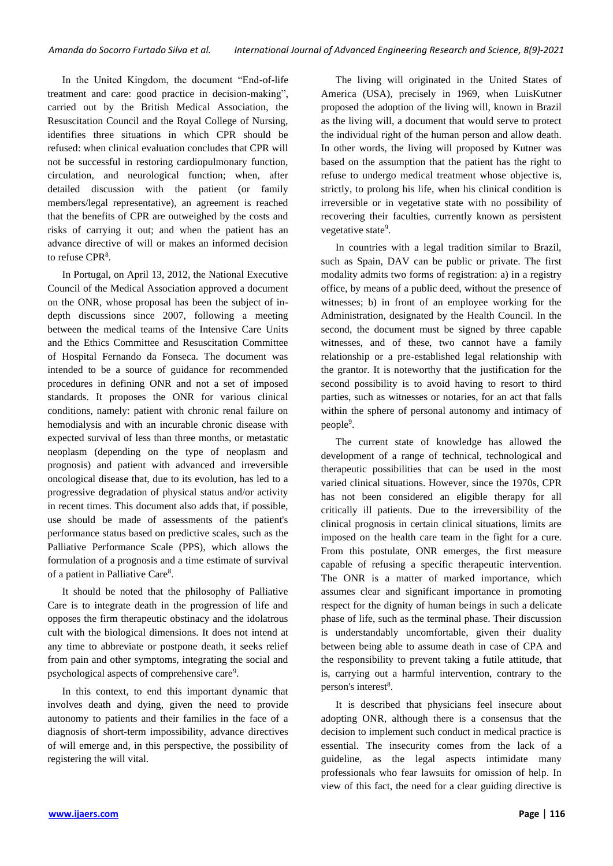In the United Kingdom, the document "End-of-life treatment and care: good practice in decision-making", carried out by the British Medical Association, the Resuscitation Council and the Royal College of Nursing, identifies three situations in which CPR should be refused: when clinical evaluation concludes that CPR will not be successful in restoring cardiopulmonary function, circulation, and neurological function; when, after detailed discussion with the patient (or family members/legal representative), an agreement is reached that the benefits of CPR are outweighed by the costs and risks of carrying it out; and when the patient has an advance directive of will or makes an informed decision to refuse  $CPR<sup>8</sup>$ .

In Portugal, on April 13, 2012, the National Executive Council of the Medical Association approved a document on the ONR, whose proposal has been the subject of indepth discussions since 2007, following a meeting between the medical teams of the Intensive Care Units and the Ethics Committee and Resuscitation Committee of Hospital Fernando da Fonseca. The document was intended to be a source of guidance for recommended procedures in defining ONR and not a set of imposed standards. It proposes the ONR for various clinical conditions, namely: patient with chronic renal failure on hemodialysis and with an incurable chronic disease with expected survival of less than three months, or metastatic neoplasm (depending on the type of neoplasm and prognosis) and patient with advanced and irreversible oncological disease that, due to its evolution, has led to a progressive degradation of physical status and/or activity in recent times. This document also adds that, if possible, use should be made of assessments of the patient's performance status based on predictive scales, such as the Palliative Performance Scale (PPS), which allows the formulation of a prognosis and a time estimate of survival of a patient in Palliative Care<sup>8</sup>.

It should be noted that the philosophy of Palliative Care is to integrate death in the progression of life and opposes the firm therapeutic obstinacy and the idolatrous cult with the biological dimensions. It does not intend at any time to abbreviate or postpone death, it seeks relief from pain and other symptoms, integrating the social and psychological aspects of comprehensive care<sup>9</sup>.

In this context, to end this important dynamic that involves death and dying, given the need to provide autonomy to patients and their families in the face of a diagnosis of short-term impossibility, advance directives of will emerge and, in this perspective, the possibility of registering the will vital.

The living will originated in the United States of America (USA), precisely in 1969, when LuisKutner proposed the adoption of the living will, known in Brazil as the living will, a document that would serve to protect the individual right of the human person and allow death. In other words, the living will proposed by Kutner was based on the assumption that the patient has the right to refuse to undergo medical treatment whose objective is, strictly, to prolong his life, when his clinical condition is irreversible or in vegetative state with no possibility of recovering their faculties, currently known as persistent vegetative state<sup>9</sup>.

In countries with a legal tradition similar to Brazil, such as Spain, DAV can be public or private. The first modality admits two forms of registration: a) in a registry office, by means of a public deed, without the presence of witnesses; b) in front of an employee working for the Administration, designated by the Health Council. In the second, the document must be signed by three capable witnesses, and of these, two cannot have a family relationship or a pre-established legal relationship with the grantor. It is noteworthy that the justification for the second possibility is to avoid having to resort to third parties, such as witnesses or notaries, for an act that falls within the sphere of personal autonomy and intimacy of people<sup>9</sup>.

The current state of knowledge has allowed the development of a range of technical, technological and therapeutic possibilities that can be used in the most varied clinical situations. However, since the 1970s, CPR has not been considered an eligible therapy for all critically ill patients. Due to the irreversibility of the clinical prognosis in certain clinical situations, limits are imposed on the health care team in the fight for a cure. From this postulate, ONR emerges, the first measure capable of refusing a specific therapeutic intervention. The ONR is a matter of marked importance, which assumes clear and significant importance in promoting respect for the dignity of human beings in such a delicate phase of life, such as the terminal phase. Their discussion is understandably uncomfortable, given their duality between being able to assume death in case of CPA and the responsibility to prevent taking a futile attitude, that is, carrying out a harmful intervention, contrary to the person's interest<sup>8</sup>.

It is described that physicians feel insecure about adopting ONR, although there is a consensus that the decision to implement such conduct in medical practice is essential. The insecurity comes from the lack of a guideline, as the legal aspects intimidate many professionals who fear lawsuits for omission of help. In view of this fact, the need for a clear guiding directive is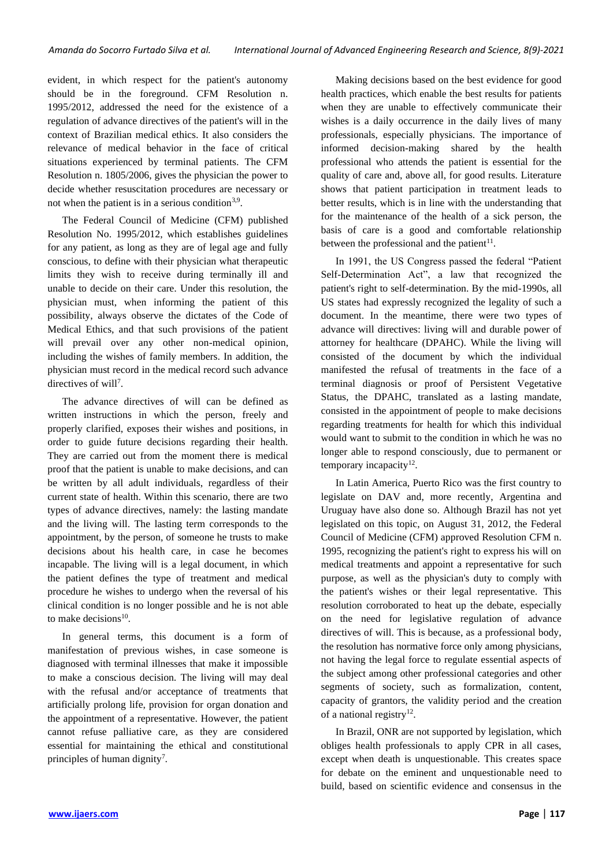evident, in which respect for the patient's autonomy should be in the foreground. CFM Resolution n. 1995/2012, addressed the need for the existence of a regulation of advance directives of the patient's will in the context of Brazilian medical ethics. It also considers the relevance of medical behavior in the face of critical situations experienced by terminal patients. The CFM Resolution n. 1805/2006, gives the physician the power to decide whether resuscitation procedures are necessary or not when the patient is in a serious condition<sup>3,9</sup>.

The Federal Council of Medicine (CFM) published Resolution No. 1995/2012, which establishes guidelines for any patient, as long as they are of legal age and fully conscious, to define with their physician what therapeutic limits they wish to receive during terminally ill and unable to decide on their care. Under this resolution, the physician must, when informing the patient of this possibility, always observe the dictates of the Code of Medical Ethics, and that such provisions of the patient will prevail over any other non-medical opinion, including the wishes of family members. In addition, the physician must record in the medical record such advance directives of will<sup>7</sup>.

The advance directives of will can be defined as written instructions in which the person, freely and properly clarified, exposes their wishes and positions, in order to guide future decisions regarding their health. They are carried out from the moment there is medical proof that the patient is unable to make decisions, and can be written by all adult individuals, regardless of their current state of health. Within this scenario, there are two types of advance directives, namely: the lasting mandate and the living will. The lasting term corresponds to the appointment, by the person, of someone he trusts to make decisions about his health care, in case he becomes incapable. The living will is a legal document, in which the patient defines the type of treatment and medical procedure he wishes to undergo when the reversal of his clinical condition is no longer possible and he is not able to make decisions<sup>10</sup>.

In general terms, this document is a form of manifestation of previous wishes, in case someone is diagnosed with terminal illnesses that make it impossible to make a conscious decision. The living will may deal with the refusal and/or acceptance of treatments that artificially prolong life, provision for organ donation and the appointment of a representative. However, the patient cannot refuse palliative care, as they are considered essential for maintaining the ethical and constitutional principles of human dignity<sup>7</sup>.

Making decisions based on the best evidence for good health practices, which enable the best results for patients when they are unable to effectively communicate their wishes is a daily occurrence in the daily lives of many professionals, especially physicians. The importance of informed decision-making shared by the health professional who attends the patient is essential for the quality of care and, above all, for good results. Literature shows that patient participation in treatment leads to better results, which is in line with the understanding that for the maintenance of the health of a sick person, the basis of care is a good and comfortable relationship between the professional and the patient $11$ .

In 1991, the US Congress passed the federal "Patient Self-Determination Act", a law that recognized the patient's right to self-determination. By the mid-1990s, all US states had expressly recognized the legality of such a document. In the meantime, there were two types of advance will directives: living will and durable power of attorney for healthcare (DPAHC). While the living will consisted of the document by which the individual manifested the refusal of treatments in the face of a terminal diagnosis or proof of Persistent Vegetative Status, the DPAHC, translated as a lasting mandate, consisted in the appointment of people to make decisions regarding treatments for health for which this individual would want to submit to the condition in which he was no longer able to respond consciously, due to permanent or temporary incapacity $12$ .

In Latin America, Puerto Rico was the first country to legislate on DAV and, more recently, Argentina and Uruguay have also done so. Although Brazil has not yet legislated on this topic, on August 31, 2012, the Federal Council of Medicine (CFM) approved Resolution CFM n. 1995, recognizing the patient's right to express his will on medical treatments and appoint a representative for such purpose, as well as the physician's duty to comply with the patient's wishes or their legal representative. This resolution corroborated to heat up the debate, especially on the need for legislative regulation of advance directives of will. This is because, as a professional body, the resolution has normative force only among physicians, not having the legal force to regulate essential aspects of the subject among other professional categories and other segments of society, such as formalization, content, capacity of grantors, the validity period and the creation of a national registry<sup>12</sup>.

In Brazil, ONR are not supported by legislation, which obliges health professionals to apply CPR in all cases, except when death is unquestionable. This creates space for debate on the eminent and unquestionable need to build, based on scientific evidence and consensus in the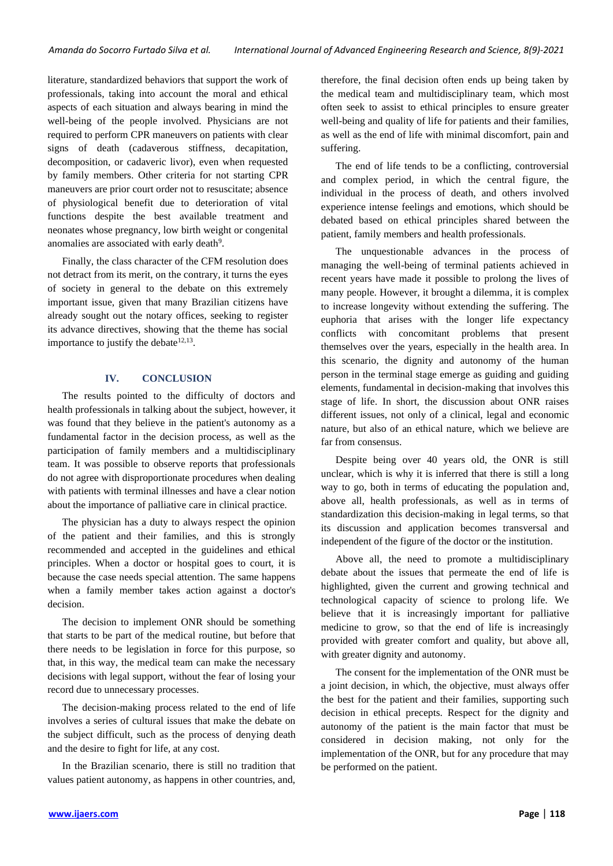literature, standardized behaviors that support the work of professionals, taking into account the moral and ethical aspects of each situation and always bearing in mind the well-being of the people involved. Physicians are not required to perform CPR maneuvers on patients with clear signs of death (cadaverous stiffness, decapitation, decomposition, or cadaveric livor), even when requested by family members. Other criteria for not starting CPR maneuvers are prior court order not to resuscitate; absence of physiological benefit due to deterioration of vital functions despite the best available treatment and neonates whose pregnancy, low birth weight or congenital anomalies are associated with early death<sup>9</sup>.

Finally, the class character of the CFM resolution does not detract from its merit, on the contrary, it turns the eyes of society in general to the debate on this extremely important issue, given that many Brazilian citizens have already sought out the notary offices, seeking to register its advance directives, showing that the theme has social importance to justify the debate $12,13$ .

#### **IV. CONCLUSION**

The results pointed to the difficulty of doctors and health professionals in talking about the subject, however, it was found that they believe in the patient's autonomy as a fundamental factor in the decision process, as well as the participation of family members and a multidisciplinary team. It was possible to observe reports that professionals do not agree with disproportionate procedures when dealing with patients with terminal illnesses and have a clear notion about the importance of palliative care in clinical practice.

The physician has a duty to always respect the opinion of the patient and their families, and this is strongly recommended and accepted in the guidelines and ethical principles. When a doctor or hospital goes to court, it is because the case needs special attention. The same happens when a family member takes action against a doctor's decision.

The decision to implement ONR should be something that starts to be part of the medical routine, but before that there needs to be legislation in force for this purpose, so that, in this way, the medical team can make the necessary decisions with legal support, without the fear of losing your record due to unnecessary processes.

The decision-making process related to the end of life involves a series of cultural issues that make the debate on the subject difficult, such as the process of denying death and the desire to fight for life, at any cost.

In the Brazilian scenario, there is still no tradition that values patient autonomy, as happens in other countries, and,

therefore, the final decision often ends up being taken by the medical team and multidisciplinary team, which most often seek to assist to ethical principles to ensure greater well-being and quality of life for patients and their families, as well as the end of life with minimal discomfort, pain and suffering.

The end of life tends to be a conflicting, controversial and complex period, in which the central figure, the individual in the process of death, and others involved experience intense feelings and emotions, which should be debated based on ethical principles shared between the patient, family members and health professionals.

The unquestionable advances in the process of managing the well-being of terminal patients achieved in recent years have made it possible to prolong the lives of many people. However, it brought a dilemma, it is complex to increase longevity without extending the suffering. The euphoria that arises with the longer life expectancy conflicts with concomitant problems that present themselves over the years, especially in the health area. In this scenario, the dignity and autonomy of the human person in the terminal stage emerge as guiding and guiding elements, fundamental in decision-making that involves this stage of life. In short, the discussion about ONR raises different issues, not only of a clinical, legal and economic nature, but also of an ethical nature, which we believe are far from consensus.

Despite being over 40 years old, the ONR is still unclear, which is why it is inferred that there is still a long way to go, both in terms of educating the population and, above all, health professionals, as well as in terms of standardization this decision-making in legal terms, so that its discussion and application becomes transversal and independent of the figure of the doctor or the institution.

Above all, the need to promote a multidisciplinary debate about the issues that permeate the end of life is highlighted, given the current and growing technical and technological capacity of science to prolong life. We believe that it is increasingly important for palliative medicine to grow, so that the end of life is increasingly provided with greater comfort and quality, but above all, with greater dignity and autonomy.

The consent for the implementation of the ONR must be a joint decision, in which, the objective, must always offer the best for the patient and their families, supporting such decision in ethical precepts. Respect for the dignity and autonomy of the patient is the main factor that must be considered in decision making, not only for the implementation of the ONR, but for any procedure that may be performed on the patient.